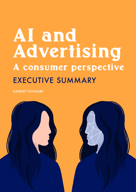# AI and Advertising A consumer perspective EXECUTIVE SUMMARY

HARRIET KINGABY

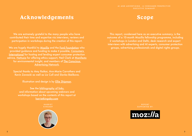# <span id="page-1-0"></span>Acknowledgements Scope



This report, condensed here as an executive summary, is the outcome of a 10-month Mozilla fellowship programme, including 2 workshops in London and Delhi, desk research and expert interviews with advertising and AI experts, consumer protection groups, advertising professionals and digital rights groups.

We are extremely grateful to the many people who have contributed their time and expertise via interviews, reviews and participation in workshops during the creation of this report.

We are hugely thankful to [Mozilla](https://foundation.mozilla.org/en/fellowships/) and the [Ford Foundation](https://www.fordfoundation.org/) who provided guidance and funding to make it possible, [Consumers](https://www.consumersinternational.org/)  [International](https://www.consumersinternational.org/) for hosting and lending expert consumer protection advice, [Hattusia](https://www.hattusia.com/) for offering ethics support, Neil Clark at [Manifesto](https://manifesto.co.uk/) for environmental insight, and members of [The Conscious](https://www.consciousadnetwork.org/)  **[Advertising Network.](https://www.consciousadnetwork.org/)** 

> See the **bibliography** of links, and information about upcoming webinars and workshops based on the contents of this report at [harrietkingaby.com](https://www.harrietkingaby.com/)

> > **HARRIET** KINGABY



**REPORT** SUPPORTED BY:



Special thanks to Amy Raikar, Ann-Marie Carrothers and Kevin Zawacki as well as Liz Coll and Slavka Bielikova.

Illustration and design is by **Ellie Shipman**.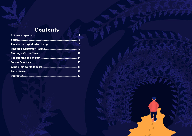# Contents

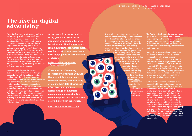# <span id="page-3-0"></span>The rise in digital advertising

*Digital advertising is a booming industry: worth over \$300 billion in 2019 alone. It's also the primary business model sustaining the internet, humanity's most important communications tool. But as AI-powered advertising grows more pervasive and sophisticated, it is doing so without guardrails. There are few rules to ensure it doesn't surveil, misinform, or exclude consumers. If the industry doesn't engage others to build a shared vision for an internet funded by advertising, and proactively deal with issues caused by emergent technologies, these problems will only grow more pronounced.*

Advertising underpins the current business model of the internet, bringing access to the web for millions, funding quality journalism, diverse voices and accessible content, as well as the platforms that connect us. But it is an imperfect funder - excluding some communities, creating business models for hate speech, misinformation and consumer scams, as well as embodying surveillance capitalism. The sheer opacity of the ecosystem and its obsession with performance metrics is allowing it to be exploited by fraudsters, hate preachers and opportunists peddling disinformation.

"Ad-supported business models bring goods and services to customers who would otherwise be priced out. Thanks to revenue from advertising, consumers often pay lower prices, and sometimes even enjoy goods or services free of charge."

#### *[Makan Delrahim, US Assistant](https://www.justice.gov/opa/speech/assistant-attorney-general-makan-delrahim-delivers-remarks-antitrust-divisions-public)  [Attorney General, 2019](https://www.justice.gov/opa/speech/assistant-attorney-general-makan-delrahim-delivers-remarks-antitrust-divisions-public)*

"Consumers are becoming increasingly frustrated with ads that disrupt their experience, interrupt content, slow browsing or eat up their data allowances. Advertisers and platforms should design commercial communication opportunities so that they are less intrusive and offer a better user experience."

*[WFA Global Media Charter, 2018](https://wfanet.org/leadership/global-media-charter)*

The result is declining trust and online spaces which increasingly work better for advertisers than citizens, and are shaped by commercial, rather than civic success metrics. Overuse of AI technologies risks further entrenching bias and privacy violations, while impacting the environment with their rapacious need for energy and

data. Many people face these challenges without adequate legal frameworks to protect their human rights, the environment or personal data. And [43% of the world's](https://www.statista.com/statistics/617136/digital-population-worldwide/)  [population](https://www.statista.com/statistics/617136/digital-population-worldwide/) does not even have online access; onboarding them into this online world as 'newbies' in its current state could [create](https://www.financialexpress.com/education-2/a-look-at-indias-deep-digital-literacy-divide-and-why-it-needs-to-be-bridged/1323822/)  [challenges](https://www.financialexpress.com/education-2/a-look-at-indias-deep-digital-literacy-divide-and-why-it-needs-to-be-bridged/1323822/) and opportunities not yet considered by governments. brands or civil society.

The funders of a free and open web wield great power - with which comes great responsibility. Advertising money is a key resource underpinning the development of the internet, and therefore should be accountable to civil society, senior leaders and investors.

Many of the issues outlined in this report are being tackled in siloes, by skilled organisations who share common concerns, but lack a common language and opportunities to engage with each other. As we enter a world of AI, smart cities and IOT, the inherently commercial nature of advertising is shaping the web in its image, creating worrying precedents - for surveillance, the erosion of public spaces and a lack of accountability or transparency when things go wrong.

Only by collaboration can these issues be resolved in an equitable manner for consumers, society and the environment. As we stand on the brink of an AI revolution, where smart cities, AR, facial recognition, voice controlled devices and machine learning will change the shape of the online world, and the digital advertising that funds it, we have to ask ourselves - what should the future of the internet look like? We call on advertisers, consumer experts and digital rights groups to engage with each other, to recognise and define the role advertising can play in funding a healthy internet, and to work together to design an online world which benefits all.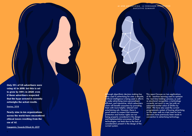Although algorithmic decision making has been used in advertising for over a decade, artificial intelligence is being used in efforts to make advertising more personalised, efficient, and interactive, which advertisers claim will benefit consumers by providing them with more helpful, relevant and entertaining ads. However, there is good reason to suspect that consumer protection and human rights are not being properly considered in the design and implementation processes of these technologies, not least due to the lack of consideration present in the design of the current system.

This report focuses on two applications of AI - machine learning used to optimise the 'real time bidding' process; as well as emotional recognition, a technology currently not much in use, but with an estimated market value of \$65bn by 2023. We have also used the current programmatic system of buying advertising on the open web as a test case for how decisions have previously been made in connection to advertising technology.

Only 15% of US advertisers were using AI in 2018, but this is set to grow by 149% in 2020, even if those advertisers suspected that the hype around it currently outweighs the actual results.

#### [Statista, 2018](https://www.statista.com/topics/5017/ai-use-in-marketing/)

Nearly nine in ten organizations across the world have encountered ethical issues resulting from the use of AI.

[Capgemini, Towards Ethical AI, 2019](file:https://www.capgemini.com/gb-en/research/why-addressing-ethical-questions-in-ai-will-benefit-organisations/)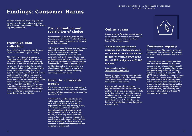

*Data collection is excessive and does not respect a consumer's right to privacy.*

Although consumers are prepared to hand over some data in order to access ad funded content, levels of ad blocking paint a more complex picture and desire for privacy. It is impossible to opt out of surveillance online, even in countries with strong data protection legislation and even the imminent phasing out of the 'third party cookie' has not brought about a sufficient mindset shift. Our research also found evidence of data ostensibly collected for advertising being passed to state actors in the USA and Chile. As we enter a world of smart cities and IOT, with AI demanding ever more data, these trends, from surveillance to bombardment, risk increasing rather than abating.

### Excessive data collection

*Personalisation is restricting choice and leading to discrimination, while advertising incentivises content production for the most profitable communities.*

Advertising's quest to tailor and personalise content is supposed to make advertising that is more relevant to consumers. However, algorithmic personalisation inherently restricts the products, services and content we see, as well as their price particularly problematic when we consider essential services such as education, jobs and housing. Advertising block lists are also demonetising content from diverse communities and hard news reporting, restricting consumer choice.

## Discrimination and restriction of choice

*The advertising ecosystem is contributing to the manipulation of and harm to vulnerable people, including encouraging consumption in harmful ways.*

Almost half the world's population are yet to come online, and when they do, most will immediately be exposed to sophisticated advertising. In many places, advertising regulators and platforms themselves place restrictions on what advertisers can advertise, where, and to who, in order to protect vulnerable groups. However, evidence suggests that consistency of enforcement is key to these measures working, and there is strong evidence to suggest that enforcement and detection is inconsistent.

#### Harm to vulnerable people

Findings include both harms to people as consumers in the marketplace as well as wider harms to consumers as public citizens or private individuals.

# <span id="page-5-0"></span>Findings: Consumer Harms

*Consumers have little agency within the current and future systems. Opportunity for redress and explanation are unfit for purpose.* 

Consumers have little control over how and what data is shared, or by whom, consent is often not meaningfully sought and existing data protection laws are not being consistently enforced. Although collective redress can be sought under GDPR, the complexity of the system means the consumer may not even understand they have been discriminated against, or have had their rights impinged. New formats, technologies and opportunities to engage are increasing the likelihood of bombardment, and increasing the prevalence of unreliable or biased AI raises cause for concern.

### Consumer agency

*Failure to tackle fake sites, misinformation and ad fraud has created an environment where online scams thrive, resulting in financial losses and trauma.* 

"3 million consumers shared warnings and information about social media scams in the US over the last two years, 188,900 in the UK, 144,500 in Nigeria and 51,400 in Spain."

[Consumers International,](https://www.consumersinternational.org/media/293343/social-media-scams-final-245.pdf)  [Social Media Scams,](https://www.consumersinternational.org/media/293343/social-media-scams-final-245.pdf) 2019

Failure to tackle fake sites, misinformation and ad fraud has created an environment where online scams thrive, resulting in financial losses and trauma.

The open web and platforms have huge disinformation and accountability problems which also allow scam adverts to thrive. Scams have the potential to cause significant harm to consumers in terms of financial loss, emotional well-being and degradation of trust. Ad fraud is a key funder of organised crime, causing further societal harms.

#### Online scams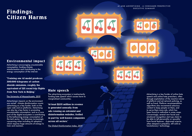# <span id="page-6-0"></span>Findings: Citizen Harms

Advertising is encouraging unsustainable consumption, funding climate misinformation and contributing to the energy consumption of the internet.

"Training one AI model produces 300,000 kilograms of carbon dioxide emissions, roughly the equivalent of 125 round trip flights from New York to Beijing."

[The University of Massachusetts, 2019](https://arxiv.org/abs/1906.02243)

Advertising's impacts on the environment are varied - climate disinformation counts advertising as a key funder, both on the open web and on platforms. Advertising can also be a key factor in promoting unsustainable consumption, and as a core part of the digital ecosystem is contributing to the ballooning energy consumption of the tech sector. This becomes increasingly concerning when including AI adoption, which requires huge amounts of energy to train and maintain.

## Environmental impact

The advertising ecosystem is inadvertently funding hate speech which causes harm to marginalised communities.

"At least \$235 million in revenue is generated annually from ads running on extremist and disinformation websites, fuelled in part by well-known companies across all sectors."

[The Global Disinformation Index, 2019](https://disinformationindex.org/research/)

## Hate speech

Advertising is a key funder of online hate speech and online hate preachers, often through exploitation of the reactive nature of platform and ad network policing, as well as fraud. Platform recommendation algorithms also recommend salacious content to keep people on them, and to serve them more ads, which has been found to radicalise in some cases. Concerningly, several new facial and emotional recognition start-ups claim to be able to tell personality or sexuality from facial features - disproved science, often steeped in prejudice, still sold as 'revolutionary' technology.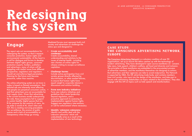The report sets out recommendations for redesigning the system, so that it respects consumer protection, human rights and environmental sustainability. At the heart is a call for dialogue and forums to develop between digital rights groups, consumer protection experts, funders, publishers and advertisers, many of whom will be grappling with similar issues from different perspectives. Legislators and regulators should set and enforce legal parameters. Planning for the future must become proactive, rather than reactive.

The online advertising system as we know is today is based on flawed assumptions - that tailored ads are inherently more effective, that people are perpetual consumers online, . and that advertisers are not accountable for their supply chain. Given that advertising is the current business model underpinning the web, these assumptions fail to support or sustain healthy digital spaces that are fit for purpose for the majority of users. As we enter a world of AI, smart cities and IOT, this is creating worrying precedents - for surveillance, the erosion of public spaces and a lack of accountability or transparency when things go wrong.

Mediated forums must represent both civil society and advertisers to challenge the status quo and designed to:

• Create accountability and roadmaps

Create accountability, shared understanding and solutions to the issues of internet health - including new charters of online rights for citizens wishing to escape surveillance capitalism.

• Challenge harms

Include active participation from civil society groups directly affected by discrimination, or other market failures, to ensure that human rights have equal weight to corporate interest in discussions and solution building.

- Form new industry initiatives Form new industry initiatives and guidelines that create leadership beyond regulation, and a proactive approach to assessing AI implementation against human rights. Suggest new regulatory interventions, or call for enforcement where necessary.
- Identify 'unknown unknowns' Identify and swiftly deal with the 'unknown unknowns' which will undoubtedly arise as a result of the implementation of new technology.

# <span id="page-7-0"></span>Redesigning the system

## Engage

#### AI AND ADVERTISING - A CONSUMER PERSPECTIVE *EXECUTIVE SUMMARY*

[The Conscious Advertising Network](https://www.consciousadnetwork.org/) is a voluntary coalition of over 90 organisations, set up to ensure the ethics catches up with the technology of modern advertising. They have developed 6 open source manifestos on - consent, fake news, hate speech, children's welfare, ad fraud and diversity and inclusion. The principles of these manifestos are embedded in the procurement process of advertiser members, and the manifestos themselves are designed as actions that advertisers and their agencies can take to avoid malpractice. The Network is supported by ISBA, the UK advertising trade body, and contains members from civil society, who input into the design of the manifestos, and take part in forums with advertising stakeholders on topics related to the manifestos. They also engage with the UN on topics such as hate speech and misinformation.

#### CASE STUDY: THE CONSCIOUS ADVERTISING NETWORK, EUROPE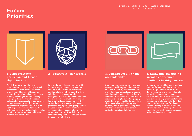# <span id="page-8-0"></span>Forum Priorities



Simply layering AI into the current system and data collection practices will exacerbate existing issues. Consumer protection and human rights must be core design principles when creating new formats, technologies and advertising strategies. This new innovation requires collaboration across sectors, and genuine consideration of 'privacy by design'; environmental degradation and 'human rights impact assessments' for new AI technologies; as well as funding to stimulate creation of new technologies which are effective and considerate.

#### 1. Build consumer protection and human rights back in

Increased data collection and use of AI is not the only solution to reaching and building relationships with consumers, and the relationship between advertiser, publisher and consumer must be reimagined to correct the power imbalance. Greater use of contextual advertising, or that which includes genuine privacy by design should be promoted. Consumer protection and digital rights groups should be used to both predict and solve issues surrounding the implementation of new technologies. AI, particularly facial and emotional recognition technologies, should be used sparingly, if at all.

#### 2. Proactive AI stewardship

Creating a more transparent advertising ecosystem will bring about benefits for all. Since the 1990s, corporations have worked on their physical supply chains, mapping and improving them in line with international coalitions and standards. An organisation's digital advertising supply chain should be subject to the same level of accountability, including suppliers and partners, and its governance integrated with their sustainability and consumer protection targets and obligations.

#### 3. Demand supply chain accountability

A healthy internet will ensure advertising is more effective, and plays a role in maintaining healthy societies. All sides should recognise and embrace the role played by advertising as a funder of the open web, and its responsibility to fund diverse voices, quality content, and accountable platforms, while defunding hate, misinformation and fraudulent activity. Creating a collective vision of advertising's role in funding a free and open internet, which respects consumers, society and the environment.

#### 4. Reimagine advertising spend as a resource funding a healthy internet



AI AND ADVERTISING - A CONSUMER PERSPECTIVE *EXECUTIVE SUMMARY*